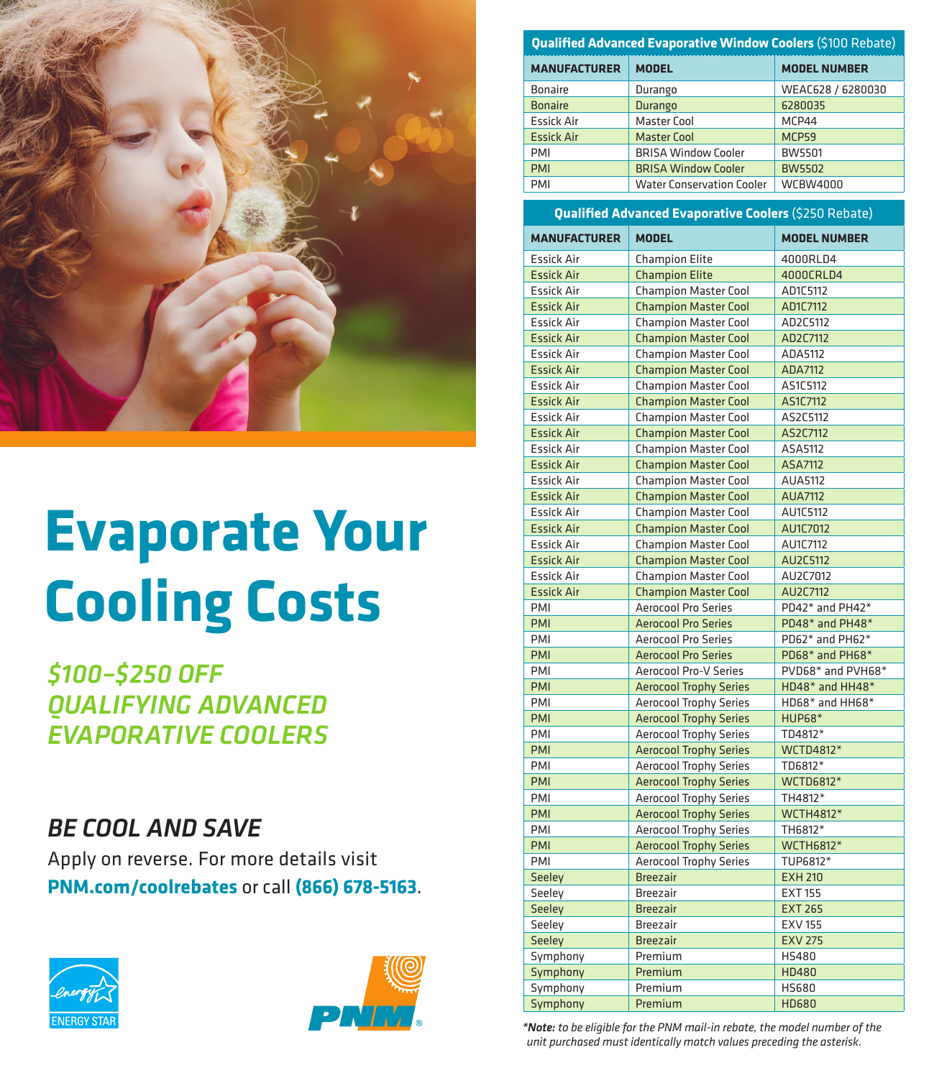

# **Evaporate Your Cooling Costs**

*\$100–\$250 OFF QUALIFYING ADVANCED EVAPORATIVE COOLERS*

# *BE COOL AND SAVE*

Apply on reverse. For more details visit **PNM.com/coolrebates** or call **(866) 678-5163**.





| Qualified Advanced Evaporative Window Coolers (\$100 Rebate) |                                  |                     |  |  |
|--------------------------------------------------------------|----------------------------------|---------------------|--|--|
| <b>MANUFACTURER</b>                                          | <b>MODEL</b>                     | <b>MODEL NUMBER</b> |  |  |
| <b>Bonaire</b>                                               | Durango                          | WEAC628 / 6280030   |  |  |
| <b>Bonaire</b>                                               | Durango                          | 6280035             |  |  |
| <b>Essick Air</b>                                            | <b>Master Cool</b>               | MCP44               |  |  |
| <b>Essick Air</b>                                            | <b>Master Cool</b>               | MCP59               |  |  |
| <b>PMI</b>                                                   | <b>BRISA Window Cooler</b>       | <b>BW5501</b>       |  |  |
| <b>PMI</b>                                                   | <b>BRISA Window Cooler</b>       | <b>BW5502</b>       |  |  |
| PMI                                                          | <b>Water Conservation Cooler</b> | <b>WCBW4000</b>     |  |  |

#### **Qualified Advanced Evaporative Coolers** (\$250 Rebate)

| <b>MANUFACTURER</b> | <b>MODEL</b>                  | <b>MODEL NUMBER</b> |
|---------------------|-------------------------------|---------------------|
| <b>Essick Air</b>   | <b>Champion Elite</b>         | 4000RLD4            |
| <b>Essick Air</b>   | <b>Champion Elite</b>         | 4000CRLD4           |
| <b>Essick Air</b>   | <b>Champion Master Cool</b>   | AD1C5112            |
| <b>Essick Air</b>   | <b>Champion Master Cool</b>   | AD1C7112            |
| <b>Essick Air</b>   | <b>Champion Master Cool</b>   | AD2C5112            |
| <b>Essick Air</b>   | <b>Champion Master Cool</b>   | AD2C7112            |
| <b>Essick Air</b>   | <b>Champion Master Cool</b>   | ADA5112             |
| <b>Essick Air</b>   | <b>Champion Master Cool</b>   | ADA7112             |
| <b>Essick Air</b>   | <b>Champion Master Cool</b>   | AS1C5112            |
| <b>Essick Air</b>   | <b>Champion Master Cool</b>   | AS1C7112            |
| <b>Essick Air</b>   | <b>Champion Master Cool</b>   | AS2C5112            |
| <b>Essick Air</b>   | <b>Champion Master Cool</b>   | AS2C7112            |
| <b>Essick Air</b>   | <b>Champion Master Cool</b>   | ASA5112             |
| <b>Essick Air</b>   | <b>Champion Master Cool</b>   | ASA7112             |
| <b>Essick Air</b>   | <b>Champion Master Cool</b>   | <b>AUA5112</b>      |
| <b>Essick Air</b>   | <b>Champion Master Cool</b>   | <b>AUA7112</b>      |
| <b>Essick Air</b>   | <b>Champion Master Cool</b>   | AU1C5112            |
| <b>Essick Air</b>   | <b>Champion Master Cool</b>   | AU1C7012            |
| <b>Essick Air</b>   | <b>Champion Master Cool</b>   | AU1C7112            |
| <b>Essick Air</b>   | <b>Champion Master Cool</b>   | AU2C5112            |
| <b>Essick Air</b>   | <b>Champion Master Cool</b>   | AU2C7012            |
| <b>Essick Air</b>   | <b>Champion Master Cool</b>   | AU2C7112            |
| PMI                 | <b>Aerocool Pro Series</b>    | PD42* and PH42*     |
| PMI                 | <b>Aerocool Pro Series</b>    | PD48* and PH48*     |
| PMI                 | <b>Aerocool Pro Series</b>    | PD62* and PH62*     |
| PMI                 | <b>Aerocool Pro Series</b>    | PD68* and PH68*     |
| PMI                 | Aerocool Pro-V Series         | PVD68* and PVH68*   |
| PMI                 | <b>Aerocool Trophy Series</b> | HD48* and HH48*     |
| PMI                 | <b>Aerocool Trophy Series</b> | HD68* and HH68*     |
| PMI                 | <b>Aerocool Trophy Series</b> | <b>HUP68*</b>       |
| PMI                 | <b>Aerocool Trophy Series</b> | TD4812*             |
| PMI                 | <b>Aerocool Trophy Series</b> | WCTD4812*           |
| PMI                 | <b>Aerocool Trophy Series</b> | TD6812*             |
| PMI                 | <b>Aerocool Trophy Series</b> | <b>WCTD6812*</b>    |
| PMI                 | <b>Aerocool Trophy Series</b> | TH4812*             |
| PMI                 | <b>Aerocool Trophy Series</b> | <b>WCTH4812*</b>    |
| PMI                 | <b>Aerocool Trophy Series</b> | TH6812*             |
| PMI                 | <b>Aerocool Trophy Series</b> | <b>WCTH6812*</b>    |
| PMI                 | <b>Aerocool Trophy Series</b> | TUP6812*            |
| <b>Seeley</b>       | <b>Breezair</b>               | <b>EXH 210</b>      |
| Seeley              | <b>Breezair</b>               | <b>EXT 155</b>      |
| <b>Seeley</b>       | <b>Breezair</b>               | <b>EXT 265</b>      |
| Seeley              | <b>Breezair</b>               | <b>EXV 155</b>      |
| Seeley              | <b>Breezair</b>               | <b>EXV 275</b>      |
| Symphony            | Premium                       | <b>HS480</b>        |
| Symphony            | Premium                       | <b>HD480</b>        |
| Symphony            | Premium                       | <b>HS680</b>        |
| Symphony            | Premium                       | <b>HD680</b>        |

*\*Note: to be eligible for the PNM mail-in rebate, the model number of the unit purchased must identically match values preceding the asterisk.*